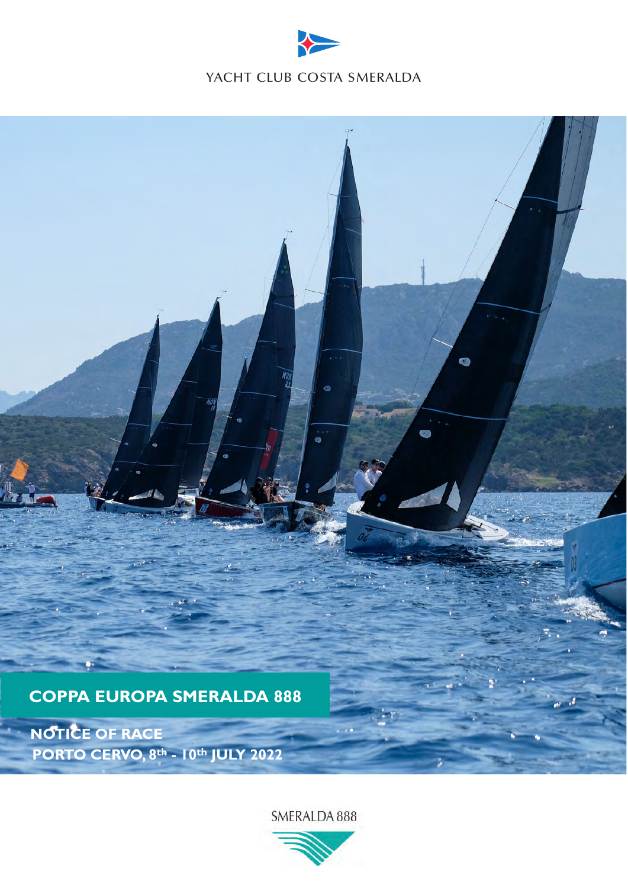



SMERALDA 888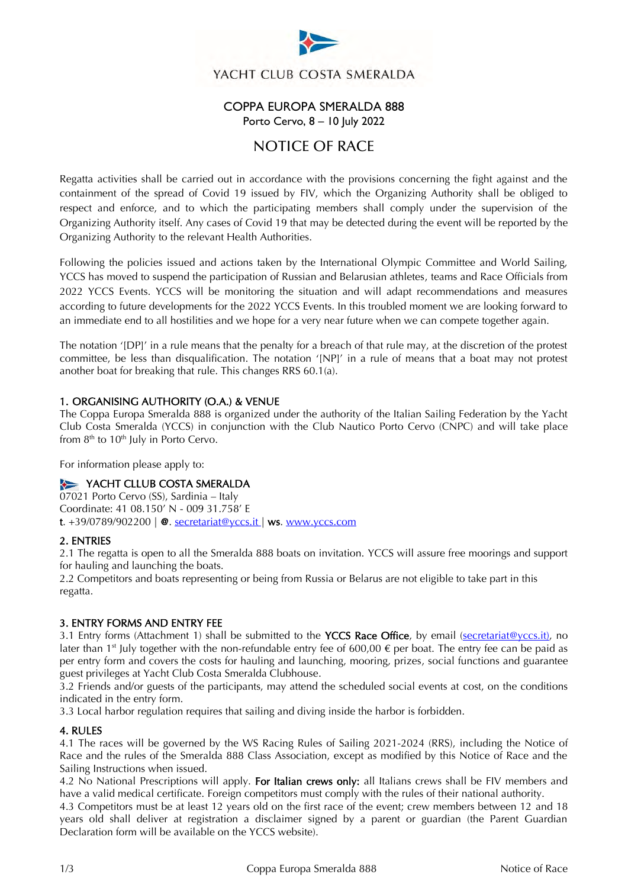

YACHT CLUB COSTA SMERALDA

## COPPA EUROPA SMERALDA 888 Porto Cervo, 8 – 10 July 2022

# NOTICE OF RACE

Regatta activities shall be carried out in accordance with the provisions concerning the fight against and the containment of the spread of Covid 19 issued by FIV, which the Organizing Authority shall be obliged to respect and enforce, and to which the participating members shall comply under the supervision of the Organizing Authority itself. Any cases of Covid 19 that may be detected during the event will be reported by the Organizing Authority to the relevant Health Authorities.

Following the policies issued and actions taken by the International Olympic Committee and World Sailing, YCCS has moved to suspend the participation of Russian and Belarusian athletes, teams and Race Officials from 2022 YCCS Events. YCCS will be monitoring the situation and will adapt recommendations and measures according to future developments for the 2022 YCCS Events. In this troubled moment we are looking forward to an immediate end to all hostilities and we hope for a very near future when we can compete together again.

The notation '[DP]' in a rule means that the penalty for a breach of that rule may, at the discretion of the protest committee, be less than disqualification. The notation '[NP]' in a rule of means that a boat may not protest another boat for breaking that rule. This changes RRS 60.1(a).

## 1. ORGANISING AUTHORITY (O.A.) & VENUE

The Coppa Europa Smeralda 888 is organized under the authority of the Italian Sailing Federation by the Yacht Club Costa Smeralda (YCCS) in conjunction with the Club Nautico Porto Cervo (CNPC) and will take place from  $8<sup>th</sup>$  to 10<sup>th</sup> July in Porto Cervo.

For information please apply to:

## YACHT CLLUB COSTA SMERALDA

07021 Porto Cervo (SS), Sardinia – Italy Coordinate: 41 08.150' N - 009 31.758' E t.  $+39/0789/902200$  |  $\odot$ . [secretariat@yccs.it](mailto:secretariat@yccs.it) | ws. www.yccs.com

### 2. ENTRIES

2.1 The regatta is open to all the Smeralda 888 boats on invitation. YCCS will assure free moorings and support for hauling and launching the boats.

2.2 Competitors and boats representing or being from Russia or Belarus are not eligible to take part in this regatta.

### 3. ENTRY FORMS AND ENTRY FEE

3.1 Entry forms (Attachment 1) shall be submitted to the YCCS Race Office, by email (secretariat@yccs.it), no later than 1<sup>st</sup> July together with the non-refundable entry fee of 600,00  $\epsilon$  per boat. The entry fee can be paid as per entry form and covers the costs for hauling and launching, mooring, prizes, social functions and guarantee guest privileges at Yacht Club Costa Smeralda Clubhouse.

3.2 Friends and/or guests of the participants, may attend the scheduled social events at cost, on the conditions indicated in the entry form.

3.3 Local harbor regulation requires that sailing and diving inside the harbor is forbidden.

### 4. RULES

4.1 The races will be governed by the WS Racing Rules of Sailing 2021-2024 (RRS), including the Notice of Race and the rules of the Smeralda 888 Class Association, except as modified by this Notice of Race and the Sailing Instructions when issued.

4.2 No National Prescriptions will apply. For Italian crews only: all Italians crews shall be FIV members and have a valid medical certificate. Foreign competitors must comply with the rules of their national authority.

4.3 Competitors must be at least 12 years old on the first race of the event; crew members between 12 and 18 years old shall deliver at registration a disclaimer signed by a parent or guardian (the Parent Guardian Declaration form will be available on the YCCS website).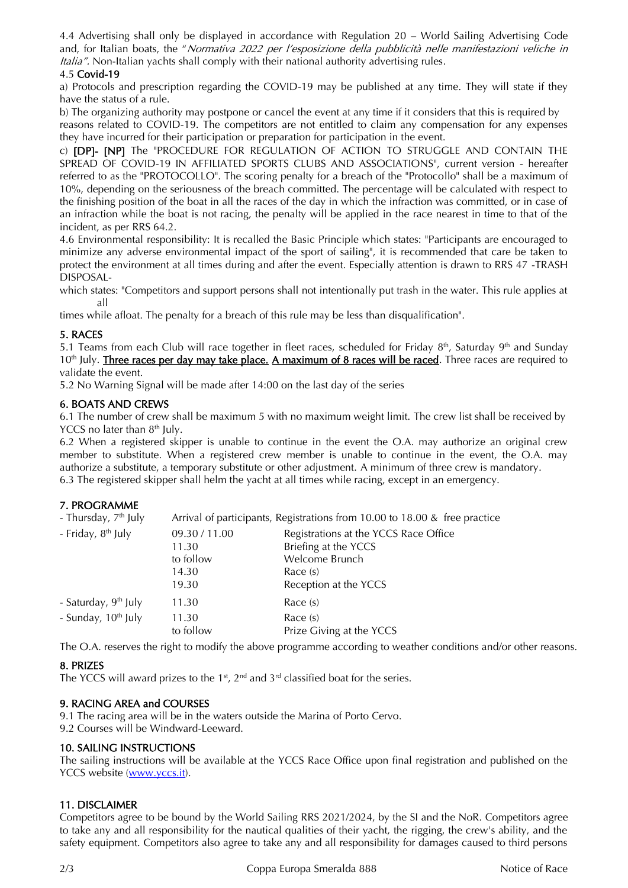4.4 Advertising shall only be displayed in accordance with Regulation 20 – World Sailing Advertising Code and, for Italian boats, the "Normativa 2022 per l'esposizione della pubblicità nelle manifestazioni veliche in Italia". Non-Italian yachts shall comply with their national authority advertising rules.

## 4.5 Covid-19

a) Protocols and prescription regarding the COVID-19 may be published at any time. They will state if they have the status of a rule.

b) The organizing authority may postpone or cancel the event at any time if it considers that this is required by reasons related to COVID-19. The competitors are not entitled to claim any compensation for any expenses they have incurred for their participation or preparation for participation in the event.

c) **[DP]- [NP]** The "PROCEDURE FOR REGULATION OF ACTION TO STRUGGLE AND CONTAIN THE SPREAD OF COVID-19 IN AFFILIATED SPORTS CLUBS AND ASSOCIATIONS", current version - hereafter referred to as the "PROTOCOLLO". The scoring penalty for a breach of the "Protocollo" shall be a maximum of 10%, depending on the seriousness of the breach committed. The percentage will be calculated with respect to the finishing position of the boat in all the races of the day in which the infraction was committed, or in case of an infraction while the boat is not racing, the penalty will be applied in the race nearest in time to that of the incident, as per RRS 64.2.

4.6 Environmental responsibility: It is recalled the Basic Principle which states: "Participants are encouraged to minimize any adverse environmental impact of the sport of sailing", it is recommended that care be taken to protect the environment at all times during and after the event. Especially attention is drawn to RRS 47 -TRASH DISPOSAL-

which states: "Competitors and support persons shall not intentionally put trash in the water. This rule applies at all

times while afloat. The penalty for a breach of this rule may be less than disqualification".

## 5. RACES

5.1 Teams from each Club will race together in fleet races, scheduled for Friday 8<sup>th</sup>, Saturday 9<sup>th</sup> and Sunday  $10<sup>th</sup>$  July. Three races per day may take place. A maximum of 8 races will be raced. Three races are required to validate the event.

5.2 No Warning Signal will be made after 14:00 on the last day of the series

### 6. BOATS AND CREWS

6.1 The number of crew shall be maximum 5 with no maximum weight limit. The crew list shall be received by YCCS no later than 8<sup>th</sup> July.

6.2 When a registered skipper is unable to continue in the event the O.A. may authorize an original crew member to substitute. When a registered crew member is unable to continue in the event, the O.A. may authorize a substitute, a temporary substitute or other adjustment. A minimum of three crew is mandatory. 6.3 The registered skipper shall helm the yacht at all times while racing, except in an emergency.

## 7. PROGRAMME

| - Thursday, 7 <sup>th</sup> July |                                                       | Arrival of participants, Registrations from 10.00 to 18.00 & free practice                                           |
|----------------------------------|-------------------------------------------------------|----------------------------------------------------------------------------------------------------------------------|
| - Friday, 8 <sup>th</sup> July   | 09.30 / 11.00<br>11.30<br>to follow<br>14.30<br>19.30 | Registrations at the YCCS Race Office<br>Briefing at the YCCS<br>Welcome Brunch<br>Race (s)<br>Reception at the YCCS |
| - Saturday, 9 <sup>th</sup> July | 11.30                                                 | Race $(s)$                                                                                                           |
| - Sunday, 10 <sup>th</sup> July  | 11.30<br>to follow                                    | Race $(s)$<br>Prize Giving at the YCCS                                                                               |

The O.A. reserves the right to modify the above programme according to weather conditions and/or other reasons.

## 8. PRIZES

The YCCS will award prizes to the  $1<sup>st</sup>$ ,  $2<sup>nd</sup>$  and  $3<sup>rd</sup>$  classified boat for the series.

## 9. RACING AREA and COURSES

9.1 The racing area will be in the waters outside the Marina of Porto Cervo.

9.2 Courses will be Windward-Leeward.

## 10. SAILING INSTRUCTIONS

The sailing instructions will be available at the YCCS Race Office upon final registration and published on the YCCS website [\(www.yccs.it\)](http://www.yccs.it/).

## 11. DISCLAIMER

Competitors agree to be bound by the World Sailing RRS 2021/2024, by the SI and the NoR. Competitors agree to take any and all responsibility for the nautical qualities of their yacht, the rigging, the crew's ability, and the safety equipment. Competitors also agree to take any and all responsibility for damages caused to third persons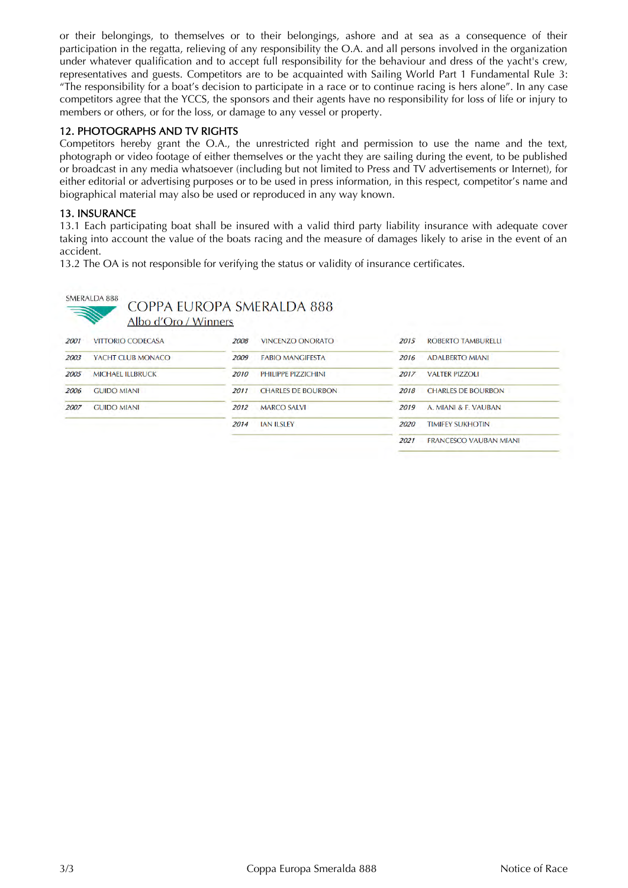or their belongings, to themselves or to their belongings, ashore and at sea as a consequence of their participation in the regatta, relieving of any responsibility the O.A. and all persons involved in the organization under whatever qualification and to accept full responsibility for the behaviour and dress of the yacht's crew, representatives and guests. Competitors are to be acquainted with Sailing World Part 1 Fundamental Rule 3: "The responsibility for a boat's decision to participate in a race or to continue racing is hers alone". In any case competitors agree that the YCCS, the sponsors and their agents have no responsibility for loss of life or injury to members or others, or for the loss, or damage to any vessel or property.

### 12. PHOTOGRAPHS AND TV RIGHTS

Competitors hereby grant the O.A., the unrestricted right and permission to use the name and the text, photograph or video footage of either themselves or the yacht they are sailing during the event, to be published or broadcast in any media whatsoever (including but not limited to Press and TV advertisements or Internet), for either editorial or advertising purposes or to be used in press information, in this respect, competitor's name and biographical material may also be used or reproduced in any way known.

### 13. INSURANCE

13.1 Each participating boat shall be insured with a valid third party liability insurance with adequate cover taking into account the value of the boats racing and the measure of damages likely to arise in the event of an accident.

13.2 The OA is not responsible for verifying the status or validity of insurance certificates.



COPPA EUROPA SMERALDA 888

Albo d'Oro / Winners

| 2001 | <b>VITTORIO CODECASA</b> | <b>VINCENZO ONORATO</b><br>2008   | <b>ROBERTO TAMBURELLI</b><br>2015     |
|------|--------------------------|-----------------------------------|---------------------------------------|
| 2003 | YACHT CLUB MONACO        | 2009<br><b>FABIO MANGIFESTA</b>   | 2016<br><b>ADALBERTO MIANI</b>        |
| 2005 | <b>MICHAEL ILLBRUCK</b>  | 2010<br>PHILIPPE PIZZICHINI       | 2017<br><b>VALTER PIZZOLI</b>         |
| 2006 | <b>GUIDO MIANI</b>       | 2011<br><b>CHARLES DE BOURBON</b> | 2018<br><b>CHARLES DE BOURBON</b>     |
| 2007 | <b>GUIDO MIANI</b>       | <b>MARCO SALVI</b><br>2012        | 2019<br>A. MIANI & F. VAUBAN          |
|      |                          | <b>JAN ILSLEY</b><br>2014         | 2020<br><b>TIMIFEY SUKHOTIN</b>       |
|      |                          |                                   | 2021<br><b>FRANCESCO VAUBAN MIANI</b> |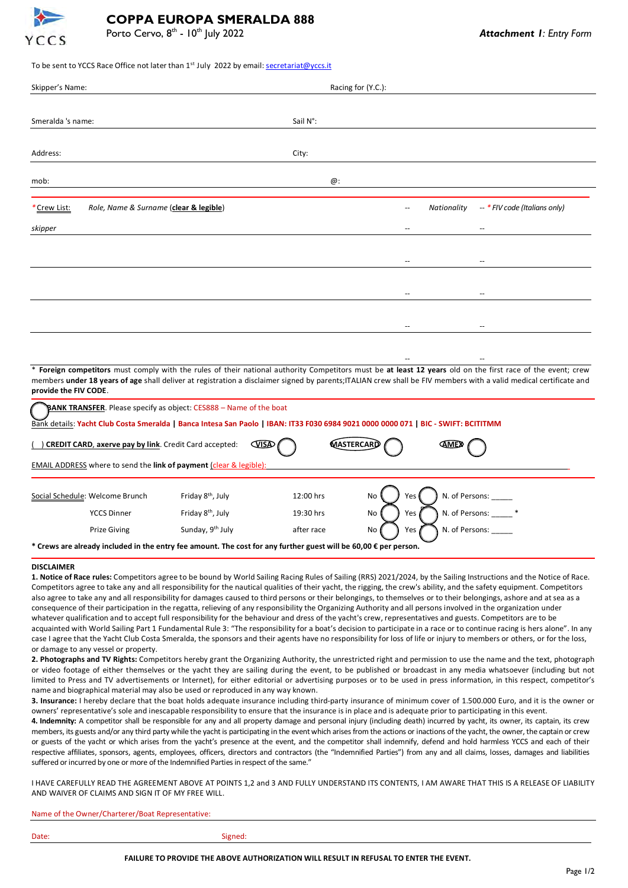

### To be sent to YCCS Race Office not later than 1<sup>st</sup> July 2022 by email[: secretariat@yccs.it](mailto:secretariat@yccs.it)

| Skipper's Name:                                       |          | Racing for (Y.C.): |                          |             |                                       |
|-------------------------------------------------------|----------|--------------------|--------------------------|-------------|---------------------------------------|
|                                                       |          |                    |                          |             |                                       |
| Smeralda 's name:                                     | Sail N°: |                    |                          |             |                                       |
|                                                       |          |                    |                          |             |                                       |
| Address:                                              | City:    |                    |                          |             |                                       |
|                                                       |          |                    |                          |             |                                       |
| mob:                                                  |          | @:                 |                          |             |                                       |
|                                                       |          |                    |                          |             |                                       |
| Role, Name & Surname (clear & legible)<br>*Crew List: |          |                    | $\overline{\phantom{a}}$ | Nationality | -- * FIV code (Italians only)         |
| skipper                                               |          |                    | $\overline{\phantom{a}}$ |             | $\overline{\phantom{a}}$              |
|                                                       |          |                    |                          |             |                                       |
|                                                       |          |                    | --                       |             | $\hspace{0.05cm}$ – $\hspace{0.05cm}$ |
|                                                       |          |                    |                          |             |                                       |
|                                                       |          |                    | $\overline{\phantom{a}}$ |             | $\overline{\phantom{a}}$              |
|                                                       |          |                    |                          |             |                                       |
|                                                       |          |                    | $\overline{\phantom{a}}$ |             | $\overline{\phantom{a}}$              |

\* **Foreign competitors** must comply with the rules of their national authority Competitors must be **at least 12 years** old on the first race of the event; crew members **under 18 years of age** shall deliver at registration a disclaimer signed by parents;ITALIAN crew shall be FIV members with a valid medical certificate and **provide the FIV CODE**.

-- --

ANK TRANSFER. Please specify as object: CES888 – Name of the boat

Bank details: **Yacht Club Costa Smeralda | Banca Intesa San Paolo | IBAN: IT33 F030 6984 9021 0000 0000 071 | BIC - SWIFT: BCITITMM**

| <b>CREDIT CARD, axerve pay by link.</b> Credit Card accepted:<br><b>VISA</b><br>AMEX<br>MASTERCARD                        |                                                                    |                               |            |           |                      |
|---------------------------------------------------------------------------------------------------------------------------|--------------------------------------------------------------------|-------------------------------|------------|-----------|----------------------|
|                                                                                                                           | EMAIL ADDRESS where to send the link of payment (clear & legible): |                               |            |           |                      |
|                                                                                                                           | Social Schedule: Welcome Brunch                                    | Friday 8 <sup>th</sup> , July | 12:00 hrs  | No<br>res | N. of Persons:       |
|                                                                                                                           | <b>YCCS Dinner</b>                                                 | Friday 8 <sup>th</sup> , July | 19:30 hrs  | Yes<br>No | N. of Persons:       |
|                                                                                                                           | Prize Giving                                                       | Sunday, 9th July              | after race | Yes<br>No | N. of Persons: _____ |
| * Crews are already included in the entry fee amount. The cost for any further guest will be 60,00 $\epsilon$ per person. |                                                                    |                               |            |           |                      |

#### **DISCLAIMER**

**1. Notice of Race rules:** Competitors agree to be bound by World Sailing Racing Rules of Sailing (RRS) 2021/2024, by the Sailing Instructions and the Notice of Race. Competitors agree to take any and all responsibility for the nautical qualities of their yacht, the rigging, the crew's ability, and the safety equipment. Competitors also agree to take any and all responsibility for damages caused to third persons or their belongings, to themselves or to their belongings, ashore and at sea as a consequence of their participation in the regatta, relieving of any responsibility the Organizing Authority and all persons involved in the organization under whatever qualification and to accept full responsibility for the behaviour and dress of the yacht's crew, representatives and guests. Competitors are to be acquainted with World Sailing Part 1 Fundamental Rule 3: "The responsibility for a boat's decision to participate in a race or to continue racing is hers alone". In any case I agree that the Yacht Club Costa Smeralda, the sponsors and their agents have no responsibility for loss of life or injury to members or others, or for the loss, or damage to any vessel or property.

**2. Photographs and TV Rights:** Competitors hereby grant the Organizing Authority, the unrestricted right and permission to use the name and the text, photograph or video footage of either themselves or the yacht they are sailing during the event, to be published or broadcast in any media whatsoever (including but not limited to Press and TV advertisements or Internet), for either editorial or advertising purposes or to be used in press information, in this respect, competitor's name and biographical material may also be used or reproduced in any way known.

**3. Insurance:** I hereby declare that the boat holds adequate insurance including third-party insurance of minimum cover of 1.500.000 Euro, and it is the owner or owners' representative's sole and inescapable responsibility to ensure that the insurance is in place and is adequate prior to participating in this event.

**4. Indemnity:** A competitor shall be responsible for any and all property damage and personal injury (including death) incurred by yacht, its owner, its captain, its crew members, its guests and/or any third party while the yacht is participating in the event which arises from the actions or inactions of the yacht, the owner, the captain or crew or guests of the yacht or which arises from the yacht's presence at the event, and the competitor shall indemnify, defend and hold harmless YCCS and each of their respective affiliates, sponsors, agents, employees, officers, directors and contractors (the "Indemnified Parties") from any and all claims, losses, damages and liabilities suffered or incurred by one or more of the Indemnified Parties in respect of the same."

I HAVE CAREFULLY READ THE AGREEMENT ABOVE AT POINTS 1,2 and 3 AND FULLY UNDERSTAND ITS CONTENTS, I AM AWARE THAT THIS IS A RELEASE OF LIABILITY AND WAIVER OF CLAIMS AND SIGN IT OF MY FREE WILL.

| Name of the Owner/Charterer/Boat Representative: |  |
|--------------------------------------------------|--|
|                                                  |  |